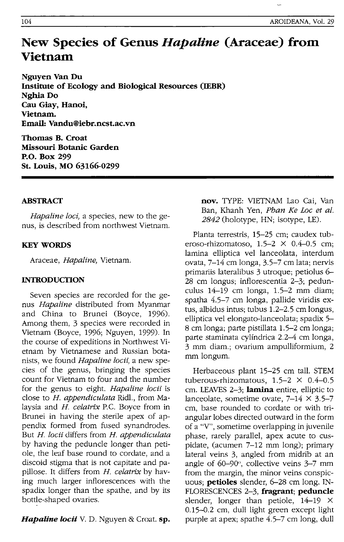# **New Species of Genus** *Hapaline* **(Araceae) from Vietnam**

**Nguyen Van Du Institute of Ecology and Biological Resources (IEBR) NghiaDo Cau Giay, Hanoi, Vietnam. Email: Vandu@iebr.ncst.ac.vn** 

**Thomas B. Croat Missouri Botanic Garden P.O. Box 299 St. Louis, MO 63166-0299** 

## **ABSTRACT**

*Hapaline loci,* a species, new to the genus, is described from northwest Vietnam.

## **KEY WORDS**

Araceae, *Hapaline,* Vietnam.

## **INTRODUCTION**

Seven species are recorded for the genus *Hapaline* distributed from Myanmar and China to Brunei (Boyce, 1996). Among them, 3 species were recorded in Vietnam (Boyce, 1996; Nguyen, 1999). In the course of expeditions in Northwest Vietnam by Vietnamese and Russian botanists, we found *Hapaline locii,* a new species of the genus, bringing the species count for Vietnam to four and the number for the genus to eight. *Hapaline locii* is close to *H. appendiculata* Ridl., from Malaysia and *H. celatrix* P.C. Boyce from in Brunei in having the sterile apex of appendix formed from fused synandrodes. But *H. locii* differs from *H. appendiculata*  by having the peduncle longer than petiole, the leaf base round to cordate, and a discoid stigma that is not capitate and papillose. It differs from *H. celatrix* by having much larger inflorescences with the spadix longer than the spathe, and by its bottle-shaped ovaries.

*Hapaline locii* V. D. Nguyen & Croat. **sp.** 

**nov.** TYPE: VIETNAM Lao Cai, Van Ban, Khanh Yen, *Phan Ke Loc et al.*  2842 (holotype, HN; isotype, LE).

Planta terrestris, 15-25 cm; caudex tuberoso-rhizomatoso,  $1.5-2 \times 0.4-0.5$  cm; lamina elliptica vel lanceolata, interdum ovata, 7-14 cm longa, 3.5-7 cm lata; nervis primariis lateralibus 3 utroque; petiolus 6- 28 cm longus; inflorescentia 2-3; pedunculus 14-19 cm longa, 1.5-2 mm diam; spatha 4.5-7 cm longa, pallide viridis extus, albidus intus; tubus 1.2-2.5 cm longus, elliptica vel elongato-lanceolata; spadix 5- 8 cm longa; parte pistillata 1.5-2 cm longa; parte staminata cylíndrica 2.2-4 cm longa, 3 mm diam.; ovarium ampulliformium, 2 mm longum.

Herbaceous plant 15-25 cm tall. STEM tuberous-rhizomatous,  $1.5-2 \times 0.4-0.5$ cm. LEAVES 2-3; **lamina** entire, elliptic to lanceolate, sometime ovate,  $7-14 \times 3.5-7$ cm, base rounded to cordate or with triangular lobes directed outward in the form of a "V", sometime overlapping in juvenile phase, rarely parallel, apex acute to cuspidate, (acumen 7-12 mm long); primary lateral veins 3, angled from midrib at an angle of 60-90", collective veins 3-7 mm from the margin, the minor veins conspicuous; **petioles** slender, 6-28 cm long. IN-FLORESCENCES 2-3, fragrant; **peduncle**  slender, longer than petiole,  $14-19 \times$ 0.15-0.2 cm, dull light green except light purple at apex; spathe 4.5-7 cm long, dull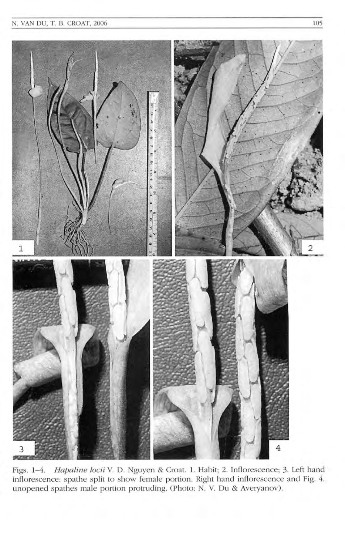

Figs. 1-4. Hapaline locii V. D. Nguyen & Croat. 1. Habit; 2. Inflorescence; 3. Left hand inflorescence: spathe split to show female portion. Right hand inflorescence and Fig. 4. unopened spathes male portion protruding. (Photo: N. V. Du & Averyanov).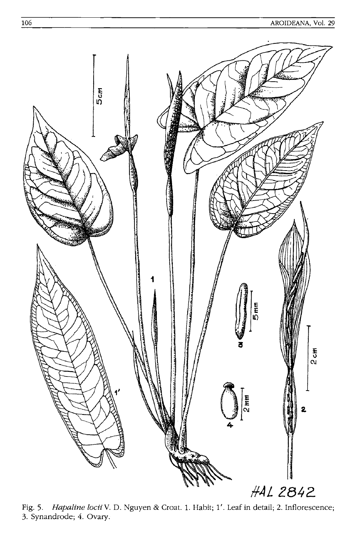

Hapaline locii V. D. Nguyen & Croat. 1. Habit; 1'. Leaf in detail; 2. Inflorescence; Fig. 5. 3. Synandrode; 4. Ovary.